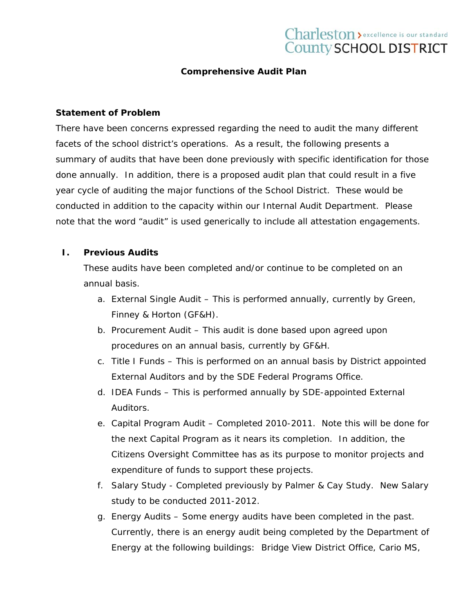# Charleston > excellence is our standard County SCHOOL DISTRICT

## **Comprehensive Audit Plan**

#### **Statement of Problem**

There have been concerns expressed regarding the need to audit the many different facets of the school district's operations. As a result, the following presents a summary of audits that have been done previously with specific identification for those done annually. In addition, there is a proposed audit plan that could result in a five year cycle of auditing the major functions of the School District. These would be conducted in addition to the capacity within our Internal Audit Department. Please note that the word "audit" is used generically to include all attestation engagements.

# **I. Previous Audits**

These audits have been completed and/or continue to be completed on an annual basis.

- a. External Single Audit This is performed annually, currently by Green, Finney & Horton (GF&H).
- b. Procurement Audit This audit is done based upon agreed upon procedures on an annual basis, currently by GF&H.
- c. Title I Funds This is performed on an annual basis by District appointed External Auditors and by the SDE Federal Programs Office.
- d. IDEA Funds This is performed annually by SDE-appointed External Auditors.
- e. Capital Program Audit Completed 2010-2011. Note this will be done for the next Capital Program as it nears its completion. In addition, the Citizens Oversight Committee has as its purpose to monitor projects and expenditure of funds to support these projects.
- f. Salary Study Completed previously by Palmer & Cay Study. New Salary study to be conducted 2011-2012.
- g. Energy Audits Some energy audits have been completed in the past. Currently, there is an energy audit being completed by the Department of Energy at the following buildings: Bridge View District Office, Cario MS,